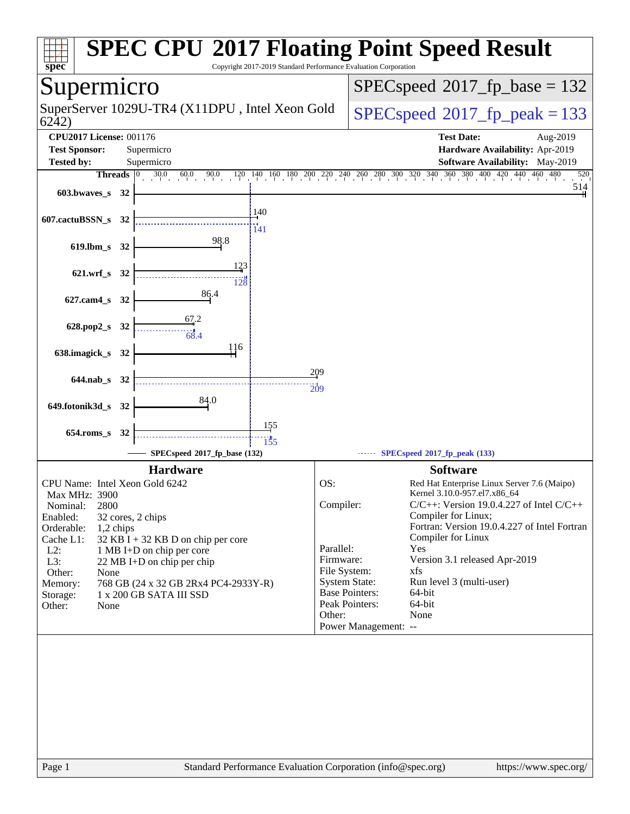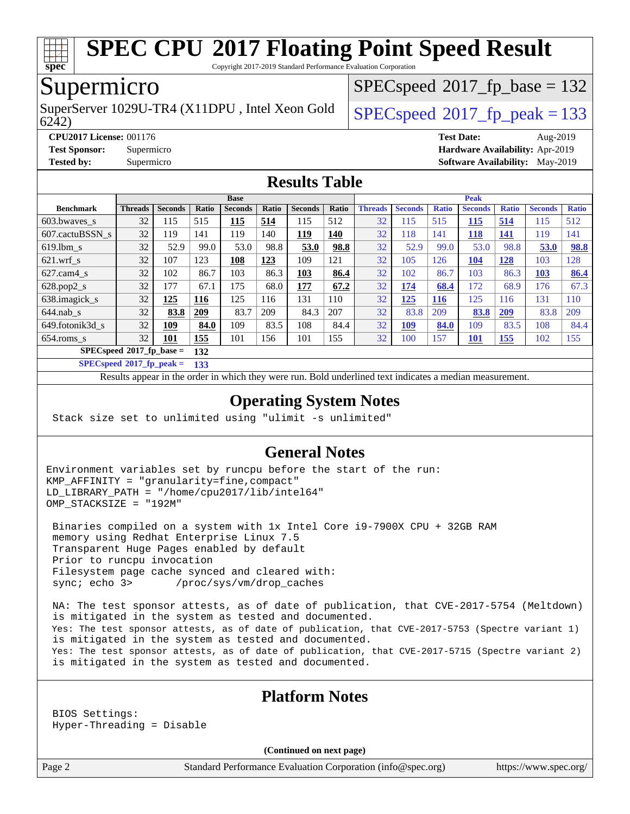

Copyright 2017-2019 Standard Performance Evaluation Corporation

## Supermicro

6242) SuperServer 1029U-TR4 (X11DPU, Intel Xeon Gold  $\big|$  [SPECspeed](http://www.spec.org/auto/cpu2017/Docs/result-fields.html#SPECspeed2017fppeak)®2017 fp\_peak = 133

[SPECspeed](http://www.spec.org/auto/cpu2017/Docs/result-fields.html#SPECspeed2017fpbase)<sup>®</sup>2017 fp base = 132

**[CPU2017 License:](http://www.spec.org/auto/cpu2017/Docs/result-fields.html#CPU2017License)** 001176 **[Test Date:](http://www.spec.org/auto/cpu2017/Docs/result-fields.html#TestDate)** Aug-2019 **[Test Sponsor:](http://www.spec.org/auto/cpu2017/Docs/result-fields.html#TestSponsor)** Supermicro **[Hardware Availability:](http://www.spec.org/auto/cpu2017/Docs/result-fields.html#HardwareAvailability)** Apr-2019 **[Tested by:](http://www.spec.org/auto/cpu2017/Docs/result-fields.html#Testedby)** Supermicro **[Software Availability:](http://www.spec.org/auto/cpu2017/Docs/result-fields.html#SoftwareAvailability)** May-2019

#### **[Results Table](http://www.spec.org/auto/cpu2017/Docs/result-fields.html#ResultsTable)**

|                          | <b>Base</b>    |                |              |                |       |                |       | <b>Peak</b>    |                |              |                |              |                |              |
|--------------------------|----------------|----------------|--------------|----------------|-------|----------------|-------|----------------|----------------|--------------|----------------|--------------|----------------|--------------|
| <b>Benchmark</b>         | <b>Threads</b> | <b>Seconds</b> | <b>Ratio</b> | <b>Seconds</b> | Ratio | <b>Seconds</b> | Ratio | <b>Threads</b> | <b>Seconds</b> | <b>Ratio</b> | <b>Seconds</b> | <b>Ratio</b> | <b>Seconds</b> | <b>Ratio</b> |
| $603.bwaves$ s           | 32             | 115            | 515          | 115            | 514   | 115            | 512   | 32             | 115            | 515          | <u>115</u>     | 514          | 115            | 512          |
| 607.cactuBSSN s          | 32             | 119            | 141          | 119            | 140   | <u>119</u>     | 140   | 32             | 118            | 141          | 118            | 141          | 119            | 141          |
| $619.$ lbm s             | 32             | 52.9           | 99.0         | 53.0           | 98.8  | 53.0           | 98.8  | 32             | 52.9           | 99.0         | 53.0           | 98.8         | 53.0           | 98.8         |
| $621$ .wrf s             | 32             | 107            | 123          | 108            | 123   | 109            | 121   | 32             | 105            | 126          | 104            | <u>128</u>   | 103            | 128          |
| $627$ .cam4 s            | 32             | 102            | 86.7         | 103            | 86.3  | 103            | 86.4  | 32             | 102            | 86.7         | 103            | 86.3         | 103            | 86.4         |
| $628.pop2_s$             | 32             | 177            | 67.1         | 175            | 68.0  | 177            | 67.2  | 32             | 174            | 68.4         | 172            | 68.9         | 176            | 67.3         |
| 638.imagick_s            | 32             | 125            | <b>116</b>   | 125            | 116   | 131            | 110   | 32             | 125            | <b>116</b>   | 125            | 116          | 131            | 110          |
| $644$ .nab s             | 32             | 83.8           | 209          | 83.7           | 209   | 84.3           | 207   | 32             | 83.8           | 209          | 83.8           | 209          | 83.8           | 209          |
| 649.fotonik3d s          | 32             | <u>109</u>     | 84.0         | 109            | 83.5  | 108            | 84.4  | 32             | <u>109</u>     | 84.0         | 109            | 83.5         | 108            | 84.4         |
| $654$ .roms_s            | 32             | 101            | 155          | 101            | 156   | 101            | 155   | 32             | 100            | 157          | 101            | 155          | 102            | 155          |
| SPECspeed®2017_fp_base = | 132            |                |              |                |       |                |       |                |                |              |                |              |                |              |

**[SPECspeed](http://www.spec.org/auto/cpu2017/Docs/result-fields.html#SPECspeed2017fppeak)[2017\\_fp\\_peak =](http://www.spec.org/auto/cpu2017/Docs/result-fields.html#SPECspeed2017fppeak) 133**

Results appear in the [order in which they were run.](http://www.spec.org/auto/cpu2017/Docs/result-fields.html#RunOrder) Bold underlined text [indicates a median measurement](http://www.spec.org/auto/cpu2017/Docs/result-fields.html#Median).

#### **[Operating System Notes](http://www.spec.org/auto/cpu2017/Docs/result-fields.html#OperatingSystemNotes)**

Stack size set to unlimited using "ulimit -s unlimited"

#### **[General Notes](http://www.spec.org/auto/cpu2017/Docs/result-fields.html#GeneralNotes)**

Environment variables set by runcpu before the start of the run: KMP\_AFFINITY = "granularity=fine,compact" LD\_LIBRARY\_PATH = "/home/cpu2017/lib/intel64" OMP\_STACKSIZE = "192M"

 Binaries compiled on a system with 1x Intel Core i9-7900X CPU + 32GB RAM memory using Redhat Enterprise Linux 7.5 Transparent Huge Pages enabled by default Prior to runcpu invocation Filesystem page cache synced and cleared with: sync; echo 3> /proc/sys/vm/drop\_caches

 NA: The test sponsor attests, as of date of publication, that CVE-2017-5754 (Meltdown) is mitigated in the system as tested and documented. Yes: The test sponsor attests, as of date of publication, that CVE-2017-5753 (Spectre variant 1) is mitigated in the system as tested and documented. Yes: The test sponsor attests, as of date of publication, that CVE-2017-5715 (Spectre variant 2) is mitigated in the system as tested and documented.

#### **[Platform Notes](http://www.spec.org/auto/cpu2017/Docs/result-fields.html#PlatformNotes)**

 BIOS Settings: Hyper-Threading = Disable

**(Continued on next page)**

Page 2 Standard Performance Evaluation Corporation [\(info@spec.org\)](mailto:info@spec.org) <https://www.spec.org/>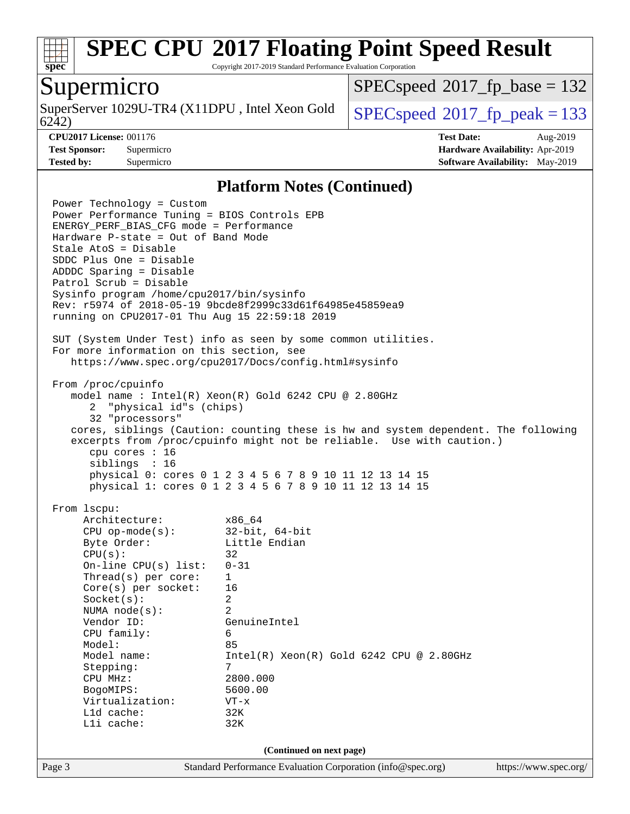

Copyright 2017-2019 Standard Performance Evaluation Corporation

#### Supermicro

6242) SuperServer 1029U-TR4 (X11DPU, Intel Xeon Gold  $\big|$  [SPECspeed](http://www.spec.org/auto/cpu2017/Docs/result-fields.html#SPECspeed2017fppeak)<sup>®</sup>2017 fp\_peak = 133

[SPECspeed](http://www.spec.org/auto/cpu2017/Docs/result-fields.html#SPECspeed2017fpbase)<sup>®</sup>2017 fp base = 132

**[CPU2017 License:](http://www.spec.org/auto/cpu2017/Docs/result-fields.html#CPU2017License)** 001176 **[Test Date:](http://www.spec.org/auto/cpu2017/Docs/result-fields.html#TestDate)** Aug-2019 **[Test Sponsor:](http://www.spec.org/auto/cpu2017/Docs/result-fields.html#TestSponsor)** Supermicro **[Hardware Availability:](http://www.spec.org/auto/cpu2017/Docs/result-fields.html#HardwareAvailability)** Apr-2019 **[Tested by:](http://www.spec.org/auto/cpu2017/Docs/result-fields.html#Testedby)** Supermicro **[Software Availability:](http://www.spec.org/auto/cpu2017/Docs/result-fields.html#SoftwareAvailability)** May-2019

#### **[Platform Notes \(Continued\)](http://www.spec.org/auto/cpu2017/Docs/result-fields.html#PlatformNotes)**

Page 3 Standard Performance Evaluation Corporation [\(info@spec.org\)](mailto:info@spec.org) <https://www.spec.org/> Power Technology = Custom Power Performance Tuning = BIOS Controls EPB ENERGY\_PERF\_BIAS\_CFG mode = Performance Hardware P-state = Out of Band Mode Stale AtoS = Disable SDDC Plus One = Disable ADDDC Sparing = Disable Patrol Scrub = Disable Sysinfo program /home/cpu2017/bin/sysinfo Rev: r5974 of 2018-05-19 9bcde8f2999c33d61f64985e45859ea9 running on CPU2017-01 Thu Aug 15 22:59:18 2019 SUT (System Under Test) info as seen by some common utilities. For more information on this section, see <https://www.spec.org/cpu2017/Docs/config.html#sysinfo> From /proc/cpuinfo model name : Intel(R) Xeon(R) Gold 6242 CPU @ 2.80GHz 2 "physical id"s (chips) 32 "processors" cores, siblings (Caution: counting these is hw and system dependent. The following excerpts from /proc/cpuinfo might not be reliable. Use with caution.) cpu cores : 16 siblings : 16 physical 0: cores 0 1 2 3 4 5 6 7 8 9 10 11 12 13 14 15 physical 1: cores 0 1 2 3 4 5 6 7 8 9 10 11 12 13 14 15 From lscpu: Architecture: x86\_64 CPU op-mode(s): 32-bit, 64-bit Byte Order: Little Endian  $CPU(s):$  32 On-line CPU(s) list: 0-31 Thread(s) per core: 1 Core(s) per socket: 16 Socket(s): 2 NUMA node(s): 2 Vendor ID: GenuineIntel CPU family: 6 Model: 85 Model name: Intel(R) Xeon(R) Gold 6242 CPU @ 2.80GHz Stepping: 7 CPU MHz: 2800.000 BogoMIPS: 5600.00 Virtualization: VT-x L1d cache: 32K L1i cache: 32K **(Continued on next page)**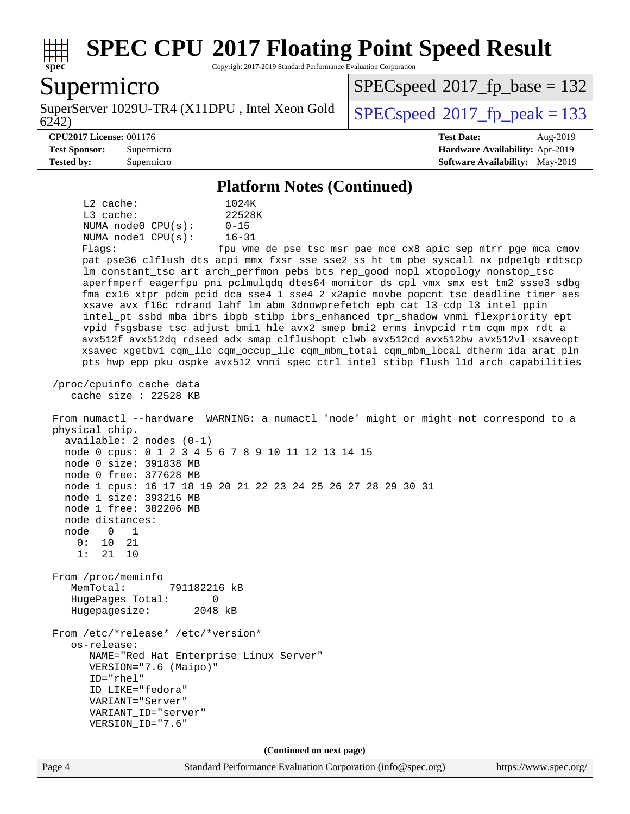

Copyright 2017-2019 Standard Performance Evaluation Corporation

## Supermicro

6242) SuperServer 1029U-TR4 (X11DPU, Intel Xeon Gold  $\big|$  [SPECspeed](http://www.spec.org/auto/cpu2017/Docs/result-fields.html#SPECspeed2017fppeak)®2017 fp\_peak = 133

[SPECspeed](http://www.spec.org/auto/cpu2017/Docs/result-fields.html#SPECspeed2017fpbase)<sup>®</sup>2017 fp base = 132

#### **[CPU2017 License:](http://www.spec.org/auto/cpu2017/Docs/result-fields.html#CPU2017License)** 001176 **[Test Date:](http://www.spec.org/auto/cpu2017/Docs/result-fields.html#TestDate)** Aug-2019

**[Test Sponsor:](http://www.spec.org/auto/cpu2017/Docs/result-fields.html#TestSponsor)** Supermicro **[Hardware Availability:](http://www.spec.org/auto/cpu2017/Docs/result-fields.html#HardwareAvailability)** Apr-2019 **[Tested by:](http://www.spec.org/auto/cpu2017/Docs/result-fields.html#Testedby)** Supermicro **[Software Availability:](http://www.spec.org/auto/cpu2017/Docs/result-fields.html#SoftwareAvailability)** May-2019

#### **[Platform Notes \(Continued\)](http://www.spec.org/auto/cpu2017/Docs/result-fields.html#PlatformNotes)**

 L2 cache: 1024K L3 cache: 22528K NUMA node0 CPU(s): 0-15 NUMA node1 CPU(s): 16-31

Flags: fpu vme de pse tsc msr pae mce cx8 apic sep mtrr pge mca cmov pat pse36 clflush dts acpi mmx fxsr sse sse2 ss ht tm pbe syscall nx pdpe1gb rdtscp lm constant\_tsc art arch\_perfmon pebs bts rep\_good nopl xtopology nonstop\_tsc aperfmperf eagerfpu pni pclmulqdq dtes64 monitor ds\_cpl vmx smx est tm2 ssse3 sdbg fma cx16 xtpr pdcm pcid dca sse4\_1 sse4\_2 x2apic movbe popcnt tsc\_deadline\_timer aes xsave avx f16c rdrand lahf\_lm abm 3dnowprefetch epb cat\_l3 cdp\_l3 intel\_ppin intel\_pt ssbd mba ibrs ibpb stibp ibrs\_enhanced tpr\_shadow vnmi flexpriority ept vpid fsgsbase tsc\_adjust bmi1 hle avx2 smep bmi2 erms invpcid rtm cqm mpx rdt\_a avx512f avx512dq rdseed adx smap clflushopt clwb avx512cd avx512bw avx512vl xsaveopt xsavec xgetbv1 cqm\_llc cqm\_occup\_llc cqm\_mbm\_total cqm\_mbm\_local dtherm ida arat pln pts hwp\_epp pku ospke avx512\_vnni spec\_ctrl intel\_stibp flush\_l1d arch\_capabilities

 /proc/cpuinfo cache data cache size : 22528 KB

 From numactl --hardware WARNING: a numactl 'node' might or might not correspond to a physical chip. available: 2 nodes (0-1) node 0 cpus: 0 1 2 3 4 5 6 7 8 9 10 11 12 13 14 15 node 0 size: 391838 MB node 0 free: 377628 MB node 1 cpus: 16 17 18 19 20 21 22 23 24 25 26 27 28 29 30 31 node 1 size: 393216 MB node 1 free: 382206 MB node distances: node 0 1 0: 10 21 1: 21 10 From /proc/meminfo MemTotal: 791182216 kB HugePages\_Total: 0 Hugepagesize: 2048 kB

 From /etc/\*release\* /etc/\*version\* os-release: NAME="Red Hat Enterprise Linux Server" VERSION="7.6 (Maipo)" ID="rhel" ID\_LIKE="fedora" VARIANT="Server" VARIANT\_ID="server" VERSION\_ID="7.6"

**(Continued on next page)**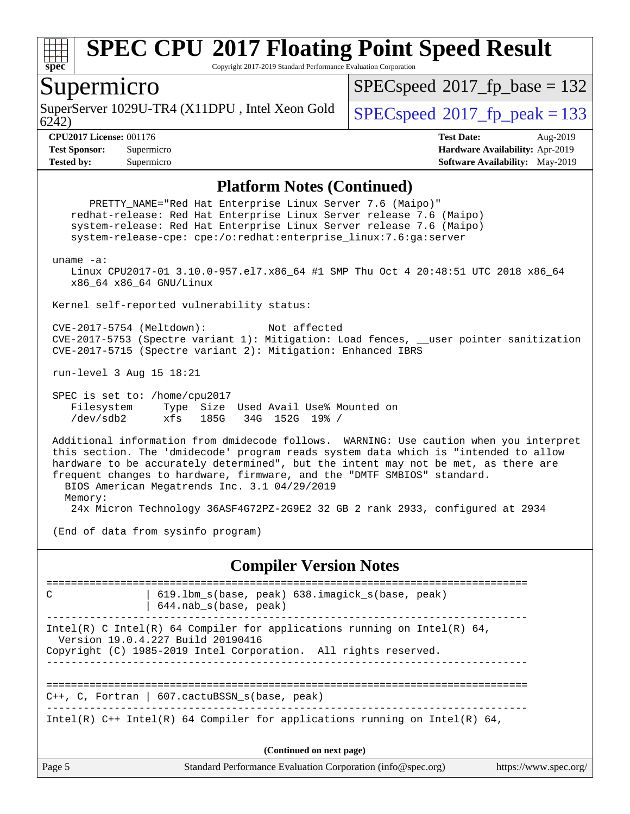

Copyright 2017-2019 Standard Performance Evaluation Corporation

#### Supermicro

6242) SuperServer 1029U-TR4 (X11DPU, Intel Xeon Gold  $\big|$  [SPECspeed](http://www.spec.org/auto/cpu2017/Docs/result-fields.html#SPECspeed2017fppeak)®2017 fp\_peak = 133

[SPECspeed](http://www.spec.org/auto/cpu2017/Docs/result-fields.html#SPECspeed2017fpbase)<sup>®</sup>2017 fp base = 132

**[CPU2017 License:](http://www.spec.org/auto/cpu2017/Docs/result-fields.html#CPU2017License)** 001176 **[Test Date:](http://www.spec.org/auto/cpu2017/Docs/result-fields.html#TestDate)** Aug-2019 **[Test Sponsor:](http://www.spec.org/auto/cpu2017/Docs/result-fields.html#TestSponsor)** Supermicro **[Hardware Availability:](http://www.spec.org/auto/cpu2017/Docs/result-fields.html#HardwareAvailability)** Apr-2019 **[Tested by:](http://www.spec.org/auto/cpu2017/Docs/result-fields.html#Testedby)** Supermicro **[Software Availability:](http://www.spec.org/auto/cpu2017/Docs/result-fields.html#SoftwareAvailability)** May-2019

#### **[Platform Notes \(Continued\)](http://www.spec.org/auto/cpu2017/Docs/result-fields.html#PlatformNotes)**

Page 5 Standard Performance Evaluation Corporation [\(info@spec.org\)](mailto:info@spec.org) <https://www.spec.org/> PRETTY\_NAME="Red Hat Enterprise Linux Server 7.6 (Maipo)" redhat-release: Red Hat Enterprise Linux Server release 7.6 (Maipo) system-release: Red Hat Enterprise Linux Server release 7.6 (Maipo) system-release-cpe: cpe:/o:redhat:enterprise\_linux:7.6:ga:server uname -a: Linux CPU2017-01 3.10.0-957.el7.x86\_64 #1 SMP Thu Oct 4 20:48:51 UTC 2018 x86\_64 x86\_64 x86\_64 GNU/Linux Kernel self-reported vulnerability status: CVE-2017-5754 (Meltdown): Not affected CVE-2017-5753 (Spectre variant 1): Mitigation: Load fences, \_\_user pointer sanitization CVE-2017-5715 (Spectre variant 2): Mitigation: Enhanced IBRS run-level 3 Aug 15 18:21 SPEC is set to: /home/cpu2017 Filesystem Type Size Used Avail Use% Mounted on /dev/sdb2 xfs 185G 34G 152G 19% / Additional information from dmidecode follows. WARNING: Use caution when you interpret this section. The 'dmidecode' program reads system data which is "intended to allow hardware to be accurately determined", but the intent may not be met, as there are frequent changes to hardware, firmware, and the "DMTF SMBIOS" standard. BIOS American Megatrends Inc. 3.1 04/29/2019 Memory: 24x Micron Technology 36ASF4G72PZ-2G9E2 32 GB 2 rank 2933, configured at 2934 (End of data from sysinfo program) **[Compiler Version Notes](http://www.spec.org/auto/cpu2017/Docs/result-fields.html#CompilerVersionNotes)** ============================================================================== C | 619.lbm\_s(base, peak) 638.imagick\_s(base, peak) | 644.nab\_s(base, peak) ------------------------------------------------------------------------------ Intel(R) C Intel(R) 64 Compiler for applications running on Intel(R)  $64$ , Version 19.0.4.227 Build 20190416 Copyright (C) 1985-2019 Intel Corporation. All rights reserved. ------------------------------------------------------------------------------ ============================================================================== C++, C, Fortran | 607.cactuBSSN\_s(base, peak) ------------------------------------------------------------------------------ Intel(R)  $C++$  Intel(R) 64 Compiler for applications running on Intel(R) 64, **(Continued on next page)**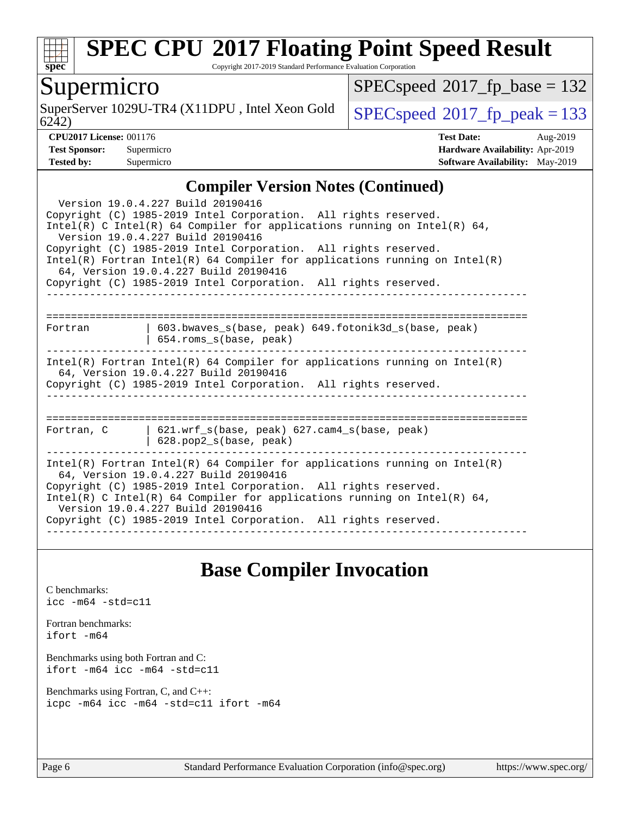

Copyright 2017-2019 Standard Performance Evaluation Corporation

## Supermicro

6242) SuperServer 1029U-TR4 (X11DPU, Intel Xeon Gold  $\big|$  [SPECspeed](http://www.spec.org/auto/cpu2017/Docs/result-fields.html#SPECspeed2017fppeak)®[2017\\_fp\\_peak = 1](http://www.spec.org/auto/cpu2017/Docs/result-fields.html#SPECspeed2017fppeak)33

 $SPEC speed$ <sup>®</sup>[2017\\_fp\\_base = 1](http://www.spec.org/auto/cpu2017/Docs/result-fields.html#SPECspeed2017fpbase)32

**[CPU2017 License:](http://www.spec.org/auto/cpu2017/Docs/result-fields.html#CPU2017License)** 001176 **[Test Date:](http://www.spec.org/auto/cpu2017/Docs/result-fields.html#TestDate)** Aug-2019 **[Test Sponsor:](http://www.spec.org/auto/cpu2017/Docs/result-fields.html#TestSponsor)** Supermicro **[Hardware Availability:](http://www.spec.org/auto/cpu2017/Docs/result-fields.html#HardwareAvailability)** Apr-2019 **[Tested by:](http://www.spec.org/auto/cpu2017/Docs/result-fields.html#Testedby)** Supermicro **Supermicro [Software Availability:](http://www.spec.org/auto/cpu2017/Docs/result-fields.html#SoftwareAvailability)** May-2019

#### **[Compiler Version Notes \(Continued\)](http://www.spec.org/auto/cpu2017/Docs/result-fields.html#CompilerVersionNotes)**

| Version 19.0.4.227 Build 20190416<br>Copyright (C) 1985-2019 Intel Corporation. All rights reserved.<br>$Intel(R)$ C Intel(R) 64 Compiler for applications running on Intel(R) 64,<br>Version 19.0.4.227 Build 20190416<br>Copyright (C) 1985-2019 Intel Corporation. All rights reserved.<br>$Intel(R)$ Fortran Intel(R) 64 Compiler for applications running on Intel(R)<br>64, Version 19.0.4.227 Build 20190416<br>Copyright (C) 1985-2019 Intel Corporation. All rights reserved. |                                                                                        |  |  |  |  |  |
|----------------------------------------------------------------------------------------------------------------------------------------------------------------------------------------------------------------------------------------------------------------------------------------------------------------------------------------------------------------------------------------------------------------------------------------------------------------------------------------|----------------------------------------------------------------------------------------|--|--|--|--|--|
| Fortran                                                                                                                                                                                                                                                                                                                                                                                                                                                                                | 603.bwaves_s(base, peak) 649.fotonik3d_s(base, peak)<br>654.roms_s(base, peak)         |  |  |  |  |  |
| $Intel(R)$ Fortran Intel(R) 64 Compiler for applications running on Intel(R)<br>64, Version 19.0.4.227 Build 20190416<br>Copyright (C) 1985-2019 Intel Corporation. All rights reserved.                                                                                                                                                                                                                                                                                               |                                                                                        |  |  |  |  |  |
|                                                                                                                                                                                                                                                                                                                                                                                                                                                                                        | Fortran, C   621.wrf_s(base, peak) 627.cam4_s(base, peak)<br>$628. pop2_s(base, peak)$ |  |  |  |  |  |
| Intel(R) Fortran Intel(R) 64 Compiler for applications running on Intel(R)<br>64, Version 19.0.4.227 Build 20190416<br>Copyright (C) 1985-2019 Intel Corporation. All rights reserved.<br>Intel(R) C Intel(R) 64 Compiler for applications running on Intel(R) 64,<br>Version 19.0.4.227 Build 20190416<br>Copyright (C) 1985-2019 Intel Corporation. All rights reserved.                                                                                                             |                                                                                        |  |  |  |  |  |

## **[Base Compiler Invocation](http://www.spec.org/auto/cpu2017/Docs/result-fields.html#BaseCompilerInvocation)**

[C benchmarks](http://www.spec.org/auto/cpu2017/Docs/result-fields.html#Cbenchmarks): [icc -m64 -std=c11](http://www.spec.org/cpu2017/results/res2019q3/cpu2017-20190819-17121.flags.html#user_CCbase_intel_icc_64bit_c11_33ee0cdaae7deeeab2a9725423ba97205ce30f63b9926c2519791662299b76a0318f32ddfffdc46587804de3178b4f9328c46fa7c2b0cd779d7a61945c91cd35)

[Fortran benchmarks](http://www.spec.org/auto/cpu2017/Docs/result-fields.html#Fortranbenchmarks): [ifort -m64](http://www.spec.org/cpu2017/results/res2019q3/cpu2017-20190819-17121.flags.html#user_FCbase_intel_ifort_64bit_24f2bb282fbaeffd6157abe4f878425411749daecae9a33200eee2bee2fe76f3b89351d69a8130dd5949958ce389cf37ff59a95e7a40d588e8d3a57e0c3fd751)

[Benchmarks using both Fortran and C](http://www.spec.org/auto/cpu2017/Docs/result-fields.html#BenchmarksusingbothFortranandC): [ifort -m64](http://www.spec.org/cpu2017/results/res2019q3/cpu2017-20190819-17121.flags.html#user_CC_FCbase_intel_ifort_64bit_24f2bb282fbaeffd6157abe4f878425411749daecae9a33200eee2bee2fe76f3b89351d69a8130dd5949958ce389cf37ff59a95e7a40d588e8d3a57e0c3fd751) [icc -m64 -std=c11](http://www.spec.org/cpu2017/results/res2019q3/cpu2017-20190819-17121.flags.html#user_CC_FCbase_intel_icc_64bit_c11_33ee0cdaae7deeeab2a9725423ba97205ce30f63b9926c2519791662299b76a0318f32ddfffdc46587804de3178b4f9328c46fa7c2b0cd779d7a61945c91cd35)

[Benchmarks using Fortran, C, and C++:](http://www.spec.org/auto/cpu2017/Docs/result-fields.html#BenchmarksusingFortranCandCXX) [icpc -m64](http://www.spec.org/cpu2017/results/res2019q3/cpu2017-20190819-17121.flags.html#user_CC_CXX_FCbase_intel_icpc_64bit_4ecb2543ae3f1412ef961e0650ca070fec7b7afdcd6ed48761b84423119d1bf6bdf5cad15b44d48e7256388bc77273b966e5eb805aefd121eb22e9299b2ec9d9) [icc -m64 -std=c11](http://www.spec.org/cpu2017/results/res2019q3/cpu2017-20190819-17121.flags.html#user_CC_CXX_FCbase_intel_icc_64bit_c11_33ee0cdaae7deeeab2a9725423ba97205ce30f63b9926c2519791662299b76a0318f32ddfffdc46587804de3178b4f9328c46fa7c2b0cd779d7a61945c91cd35) [ifort -m64](http://www.spec.org/cpu2017/results/res2019q3/cpu2017-20190819-17121.flags.html#user_CC_CXX_FCbase_intel_ifort_64bit_24f2bb282fbaeffd6157abe4f878425411749daecae9a33200eee2bee2fe76f3b89351d69a8130dd5949958ce389cf37ff59a95e7a40d588e8d3a57e0c3fd751)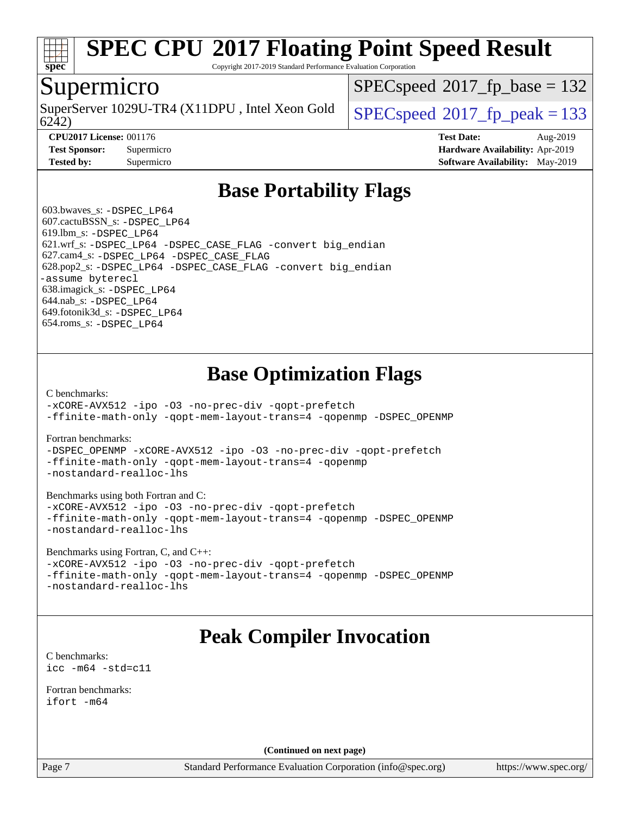

Copyright 2017-2019 Standard Performance Evaluation Corporation

#### Supermicro

SuperServer 1029U-TR4 (X11DPU, Intel Xeon Gold  $\big|$  [SPECspeed](http://www.spec.org/auto/cpu2017/Docs/result-fields.html#SPECspeed2017fppeak)<sup>®</sup>2017 fp\_peak = 133

[SPECspeed](http://www.spec.org/auto/cpu2017/Docs/result-fields.html#SPECspeed2017fpbase)<sup>®</sup>2017 fp base = 132

6242)

**[Tested by:](http://www.spec.org/auto/cpu2017/Docs/result-fields.html#Testedby)** Supermicro **[Software Availability:](http://www.spec.org/auto/cpu2017/Docs/result-fields.html#SoftwareAvailability)** May-2019

**[CPU2017 License:](http://www.spec.org/auto/cpu2017/Docs/result-fields.html#CPU2017License)** 001176 **[Test Date:](http://www.spec.org/auto/cpu2017/Docs/result-fields.html#TestDate)** Aug-2019 **[Test Sponsor:](http://www.spec.org/auto/cpu2017/Docs/result-fields.html#TestSponsor)** Supermicro **[Hardware Availability:](http://www.spec.org/auto/cpu2017/Docs/result-fields.html#HardwareAvailability)** Apr-2019

## **[Base Portability Flags](http://www.spec.org/auto/cpu2017/Docs/result-fields.html#BasePortabilityFlags)**

 603.bwaves\_s: [-DSPEC\\_LP64](http://www.spec.org/cpu2017/results/res2019q3/cpu2017-20190819-17121.flags.html#suite_basePORTABILITY603_bwaves_s_DSPEC_LP64) 607.cactuBSSN\_s: [-DSPEC\\_LP64](http://www.spec.org/cpu2017/results/res2019q3/cpu2017-20190819-17121.flags.html#suite_basePORTABILITY607_cactuBSSN_s_DSPEC_LP64) 619.lbm\_s: [-DSPEC\\_LP64](http://www.spec.org/cpu2017/results/res2019q3/cpu2017-20190819-17121.flags.html#suite_basePORTABILITY619_lbm_s_DSPEC_LP64) 621.wrf\_s: [-DSPEC\\_LP64](http://www.spec.org/cpu2017/results/res2019q3/cpu2017-20190819-17121.flags.html#suite_basePORTABILITY621_wrf_s_DSPEC_LP64) [-DSPEC\\_CASE\\_FLAG](http://www.spec.org/cpu2017/results/res2019q3/cpu2017-20190819-17121.flags.html#b621.wrf_s_baseCPORTABILITY_DSPEC_CASE_FLAG) [-convert big\\_endian](http://www.spec.org/cpu2017/results/res2019q3/cpu2017-20190819-17121.flags.html#user_baseFPORTABILITY621_wrf_s_convert_big_endian_c3194028bc08c63ac5d04de18c48ce6d347e4e562e8892b8bdbdc0214820426deb8554edfa529a3fb25a586e65a3d812c835984020483e7e73212c4d31a38223) 627.cam4\_s: [-DSPEC\\_LP64](http://www.spec.org/cpu2017/results/res2019q3/cpu2017-20190819-17121.flags.html#suite_basePORTABILITY627_cam4_s_DSPEC_LP64) [-DSPEC\\_CASE\\_FLAG](http://www.spec.org/cpu2017/results/res2019q3/cpu2017-20190819-17121.flags.html#b627.cam4_s_baseCPORTABILITY_DSPEC_CASE_FLAG) 628.pop2\_s: [-DSPEC\\_LP64](http://www.spec.org/cpu2017/results/res2019q3/cpu2017-20190819-17121.flags.html#suite_basePORTABILITY628_pop2_s_DSPEC_LP64) [-DSPEC\\_CASE\\_FLAG](http://www.spec.org/cpu2017/results/res2019q3/cpu2017-20190819-17121.flags.html#b628.pop2_s_baseCPORTABILITY_DSPEC_CASE_FLAG) [-convert big\\_endian](http://www.spec.org/cpu2017/results/res2019q3/cpu2017-20190819-17121.flags.html#user_baseFPORTABILITY628_pop2_s_convert_big_endian_c3194028bc08c63ac5d04de18c48ce6d347e4e562e8892b8bdbdc0214820426deb8554edfa529a3fb25a586e65a3d812c835984020483e7e73212c4d31a38223) [-assume byterecl](http://www.spec.org/cpu2017/results/res2019q3/cpu2017-20190819-17121.flags.html#user_baseFPORTABILITY628_pop2_s_assume_byterecl_7e47d18b9513cf18525430bbf0f2177aa9bf368bc7a059c09b2c06a34b53bd3447c950d3f8d6c70e3faf3a05c8557d66a5798b567902e8849adc142926523472) 638.imagick\_s: [-DSPEC\\_LP64](http://www.spec.org/cpu2017/results/res2019q3/cpu2017-20190819-17121.flags.html#suite_basePORTABILITY638_imagick_s_DSPEC_LP64) 644.nab\_s: [-DSPEC\\_LP64](http://www.spec.org/cpu2017/results/res2019q3/cpu2017-20190819-17121.flags.html#suite_basePORTABILITY644_nab_s_DSPEC_LP64) 649.fotonik3d\_s: [-DSPEC\\_LP64](http://www.spec.org/cpu2017/results/res2019q3/cpu2017-20190819-17121.flags.html#suite_basePORTABILITY649_fotonik3d_s_DSPEC_LP64) 654.roms\_s: [-DSPEC\\_LP64](http://www.spec.org/cpu2017/results/res2019q3/cpu2017-20190819-17121.flags.html#suite_basePORTABILITY654_roms_s_DSPEC_LP64)

## **[Base Optimization Flags](http://www.spec.org/auto/cpu2017/Docs/result-fields.html#BaseOptimizationFlags)**

[C benchmarks](http://www.spec.org/auto/cpu2017/Docs/result-fields.html#Cbenchmarks):

[-xCORE-AVX512](http://www.spec.org/cpu2017/results/res2019q3/cpu2017-20190819-17121.flags.html#user_CCbase_f-xCORE-AVX512) [-ipo](http://www.spec.org/cpu2017/results/res2019q3/cpu2017-20190819-17121.flags.html#user_CCbase_f-ipo) [-O3](http://www.spec.org/cpu2017/results/res2019q3/cpu2017-20190819-17121.flags.html#user_CCbase_f-O3) [-no-prec-div](http://www.spec.org/cpu2017/results/res2019q3/cpu2017-20190819-17121.flags.html#user_CCbase_f-no-prec-div) [-qopt-prefetch](http://www.spec.org/cpu2017/results/res2019q3/cpu2017-20190819-17121.flags.html#user_CCbase_f-qopt-prefetch) [-ffinite-math-only](http://www.spec.org/cpu2017/results/res2019q3/cpu2017-20190819-17121.flags.html#user_CCbase_f_finite_math_only_cb91587bd2077682c4b38af759c288ed7c732db004271a9512da14a4f8007909a5f1427ecbf1a0fb78ff2a814402c6114ac565ca162485bbcae155b5e4258871) [-qopt-mem-layout-trans=4](http://www.spec.org/cpu2017/results/res2019q3/cpu2017-20190819-17121.flags.html#user_CCbase_f-qopt-mem-layout-trans_fa39e755916c150a61361b7846f310bcdf6f04e385ef281cadf3647acec3f0ae266d1a1d22d972a7087a248fd4e6ca390a3634700869573d231a252c784941a8) [-qopenmp](http://www.spec.org/cpu2017/results/res2019q3/cpu2017-20190819-17121.flags.html#user_CCbase_qopenmp_16be0c44f24f464004c6784a7acb94aca937f053568ce72f94b139a11c7c168634a55f6653758ddd83bcf7b8463e8028bb0b48b77bcddc6b78d5d95bb1df2967) [-DSPEC\\_OPENMP](http://www.spec.org/cpu2017/results/res2019q3/cpu2017-20190819-17121.flags.html#suite_CCbase_DSPEC_OPENMP)

[Fortran benchmarks](http://www.spec.org/auto/cpu2017/Docs/result-fields.html#Fortranbenchmarks):

[-DSPEC\\_OPENMP](http://www.spec.org/cpu2017/results/res2019q3/cpu2017-20190819-17121.flags.html#suite_FCbase_DSPEC_OPENMP) [-xCORE-AVX512](http://www.spec.org/cpu2017/results/res2019q3/cpu2017-20190819-17121.flags.html#user_FCbase_f-xCORE-AVX512) [-ipo](http://www.spec.org/cpu2017/results/res2019q3/cpu2017-20190819-17121.flags.html#user_FCbase_f-ipo) [-O3](http://www.spec.org/cpu2017/results/res2019q3/cpu2017-20190819-17121.flags.html#user_FCbase_f-O3) [-no-prec-div](http://www.spec.org/cpu2017/results/res2019q3/cpu2017-20190819-17121.flags.html#user_FCbase_f-no-prec-div) [-qopt-prefetch](http://www.spec.org/cpu2017/results/res2019q3/cpu2017-20190819-17121.flags.html#user_FCbase_f-qopt-prefetch) [-ffinite-math-only](http://www.spec.org/cpu2017/results/res2019q3/cpu2017-20190819-17121.flags.html#user_FCbase_f_finite_math_only_cb91587bd2077682c4b38af759c288ed7c732db004271a9512da14a4f8007909a5f1427ecbf1a0fb78ff2a814402c6114ac565ca162485bbcae155b5e4258871) [-qopt-mem-layout-trans=4](http://www.spec.org/cpu2017/results/res2019q3/cpu2017-20190819-17121.flags.html#user_FCbase_f-qopt-mem-layout-trans_fa39e755916c150a61361b7846f310bcdf6f04e385ef281cadf3647acec3f0ae266d1a1d22d972a7087a248fd4e6ca390a3634700869573d231a252c784941a8) [-qopenmp](http://www.spec.org/cpu2017/results/res2019q3/cpu2017-20190819-17121.flags.html#user_FCbase_qopenmp_16be0c44f24f464004c6784a7acb94aca937f053568ce72f94b139a11c7c168634a55f6653758ddd83bcf7b8463e8028bb0b48b77bcddc6b78d5d95bb1df2967) [-nostandard-realloc-lhs](http://www.spec.org/cpu2017/results/res2019q3/cpu2017-20190819-17121.flags.html#user_FCbase_f_2003_std_realloc_82b4557e90729c0f113870c07e44d33d6f5a304b4f63d4c15d2d0f1fab99f5daaed73bdb9275d9ae411527f28b936061aa8b9c8f2d63842963b95c9dd6426b8a)

[Benchmarks using both Fortran and C](http://www.spec.org/auto/cpu2017/Docs/result-fields.html#BenchmarksusingbothFortranandC):

[-xCORE-AVX512](http://www.spec.org/cpu2017/results/res2019q3/cpu2017-20190819-17121.flags.html#user_CC_FCbase_f-xCORE-AVX512) [-ipo](http://www.spec.org/cpu2017/results/res2019q3/cpu2017-20190819-17121.flags.html#user_CC_FCbase_f-ipo) [-O3](http://www.spec.org/cpu2017/results/res2019q3/cpu2017-20190819-17121.flags.html#user_CC_FCbase_f-O3) [-no-prec-div](http://www.spec.org/cpu2017/results/res2019q3/cpu2017-20190819-17121.flags.html#user_CC_FCbase_f-no-prec-div) [-qopt-prefetch](http://www.spec.org/cpu2017/results/res2019q3/cpu2017-20190819-17121.flags.html#user_CC_FCbase_f-qopt-prefetch) [-ffinite-math-only](http://www.spec.org/cpu2017/results/res2019q3/cpu2017-20190819-17121.flags.html#user_CC_FCbase_f_finite_math_only_cb91587bd2077682c4b38af759c288ed7c732db004271a9512da14a4f8007909a5f1427ecbf1a0fb78ff2a814402c6114ac565ca162485bbcae155b5e4258871) [-qopt-mem-layout-trans=4](http://www.spec.org/cpu2017/results/res2019q3/cpu2017-20190819-17121.flags.html#user_CC_FCbase_f-qopt-mem-layout-trans_fa39e755916c150a61361b7846f310bcdf6f04e385ef281cadf3647acec3f0ae266d1a1d22d972a7087a248fd4e6ca390a3634700869573d231a252c784941a8) [-qopenmp](http://www.spec.org/cpu2017/results/res2019q3/cpu2017-20190819-17121.flags.html#user_CC_FCbase_qopenmp_16be0c44f24f464004c6784a7acb94aca937f053568ce72f94b139a11c7c168634a55f6653758ddd83bcf7b8463e8028bb0b48b77bcddc6b78d5d95bb1df2967) [-DSPEC\\_OPENMP](http://www.spec.org/cpu2017/results/res2019q3/cpu2017-20190819-17121.flags.html#suite_CC_FCbase_DSPEC_OPENMP) [-nostandard-realloc-lhs](http://www.spec.org/cpu2017/results/res2019q3/cpu2017-20190819-17121.flags.html#user_CC_FCbase_f_2003_std_realloc_82b4557e90729c0f113870c07e44d33d6f5a304b4f63d4c15d2d0f1fab99f5daaed73bdb9275d9ae411527f28b936061aa8b9c8f2d63842963b95c9dd6426b8a)

[Benchmarks using Fortran, C, and C++:](http://www.spec.org/auto/cpu2017/Docs/result-fields.html#BenchmarksusingFortranCandCXX)

[-xCORE-AVX512](http://www.spec.org/cpu2017/results/res2019q3/cpu2017-20190819-17121.flags.html#user_CC_CXX_FCbase_f-xCORE-AVX512) [-ipo](http://www.spec.org/cpu2017/results/res2019q3/cpu2017-20190819-17121.flags.html#user_CC_CXX_FCbase_f-ipo) [-O3](http://www.spec.org/cpu2017/results/res2019q3/cpu2017-20190819-17121.flags.html#user_CC_CXX_FCbase_f-O3) [-no-prec-div](http://www.spec.org/cpu2017/results/res2019q3/cpu2017-20190819-17121.flags.html#user_CC_CXX_FCbase_f-no-prec-div) [-qopt-prefetch](http://www.spec.org/cpu2017/results/res2019q3/cpu2017-20190819-17121.flags.html#user_CC_CXX_FCbase_f-qopt-prefetch) [-ffinite-math-only](http://www.spec.org/cpu2017/results/res2019q3/cpu2017-20190819-17121.flags.html#user_CC_CXX_FCbase_f_finite_math_only_cb91587bd2077682c4b38af759c288ed7c732db004271a9512da14a4f8007909a5f1427ecbf1a0fb78ff2a814402c6114ac565ca162485bbcae155b5e4258871) [-qopt-mem-layout-trans=4](http://www.spec.org/cpu2017/results/res2019q3/cpu2017-20190819-17121.flags.html#user_CC_CXX_FCbase_f-qopt-mem-layout-trans_fa39e755916c150a61361b7846f310bcdf6f04e385ef281cadf3647acec3f0ae266d1a1d22d972a7087a248fd4e6ca390a3634700869573d231a252c784941a8) [-qopenmp](http://www.spec.org/cpu2017/results/res2019q3/cpu2017-20190819-17121.flags.html#user_CC_CXX_FCbase_qopenmp_16be0c44f24f464004c6784a7acb94aca937f053568ce72f94b139a11c7c168634a55f6653758ddd83bcf7b8463e8028bb0b48b77bcddc6b78d5d95bb1df2967) [-DSPEC\\_OPENMP](http://www.spec.org/cpu2017/results/res2019q3/cpu2017-20190819-17121.flags.html#suite_CC_CXX_FCbase_DSPEC_OPENMP) [-nostandard-realloc-lhs](http://www.spec.org/cpu2017/results/res2019q3/cpu2017-20190819-17121.flags.html#user_CC_CXX_FCbase_f_2003_std_realloc_82b4557e90729c0f113870c07e44d33d6f5a304b4f63d4c15d2d0f1fab99f5daaed73bdb9275d9ae411527f28b936061aa8b9c8f2d63842963b95c9dd6426b8a)

## **[Peak Compiler Invocation](http://www.spec.org/auto/cpu2017/Docs/result-fields.html#PeakCompilerInvocation)**

[C benchmarks](http://www.spec.org/auto/cpu2017/Docs/result-fields.html#Cbenchmarks): [icc -m64 -std=c11](http://www.spec.org/cpu2017/results/res2019q3/cpu2017-20190819-17121.flags.html#user_CCpeak_intel_icc_64bit_c11_33ee0cdaae7deeeab2a9725423ba97205ce30f63b9926c2519791662299b76a0318f32ddfffdc46587804de3178b4f9328c46fa7c2b0cd779d7a61945c91cd35)

[Fortran benchmarks](http://www.spec.org/auto/cpu2017/Docs/result-fields.html#Fortranbenchmarks): [ifort -m64](http://www.spec.org/cpu2017/results/res2019q3/cpu2017-20190819-17121.flags.html#user_FCpeak_intel_ifort_64bit_24f2bb282fbaeffd6157abe4f878425411749daecae9a33200eee2bee2fe76f3b89351d69a8130dd5949958ce389cf37ff59a95e7a40d588e8d3a57e0c3fd751)

**(Continued on next page)**

Page 7 Standard Performance Evaluation Corporation [\(info@spec.org\)](mailto:info@spec.org) <https://www.spec.org/>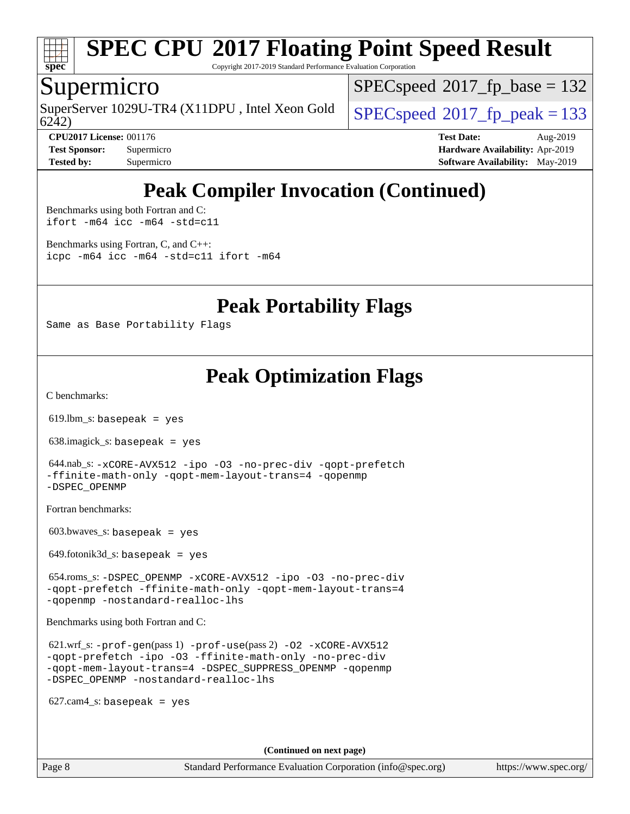

Copyright 2017-2019 Standard Performance Evaluation Corporation

### Supermicro

6242) SuperServer 1029U-TR4 (X11DPU, Intel Xeon Gold  $\big|$  [SPECspeed](http://www.spec.org/auto/cpu2017/Docs/result-fields.html#SPECspeed2017fppeak)®2017 fp\_peak = 133

[SPECspeed](http://www.spec.org/auto/cpu2017/Docs/result-fields.html#SPECspeed2017fpbase)<sup>®</sup>2017 fp base = 132

**[CPU2017 License:](http://www.spec.org/auto/cpu2017/Docs/result-fields.html#CPU2017License)** 001176 **[Test Date:](http://www.spec.org/auto/cpu2017/Docs/result-fields.html#TestDate)** Aug-2019 **[Test Sponsor:](http://www.spec.org/auto/cpu2017/Docs/result-fields.html#TestSponsor)** Supermicro **[Hardware Availability:](http://www.spec.org/auto/cpu2017/Docs/result-fields.html#HardwareAvailability)** Apr-2019 **[Tested by:](http://www.spec.org/auto/cpu2017/Docs/result-fields.html#Testedby)** Supermicro **[Software Availability:](http://www.spec.org/auto/cpu2017/Docs/result-fields.html#SoftwareAvailability)** May-2019

## **[Peak Compiler Invocation \(Continued\)](http://www.spec.org/auto/cpu2017/Docs/result-fields.html#PeakCompilerInvocation)**

[Benchmarks using both Fortran and C](http://www.spec.org/auto/cpu2017/Docs/result-fields.html#BenchmarksusingbothFortranandC): [ifort -m64](http://www.spec.org/cpu2017/results/res2019q3/cpu2017-20190819-17121.flags.html#user_CC_FCpeak_intel_ifort_64bit_24f2bb282fbaeffd6157abe4f878425411749daecae9a33200eee2bee2fe76f3b89351d69a8130dd5949958ce389cf37ff59a95e7a40d588e8d3a57e0c3fd751) [icc -m64 -std=c11](http://www.spec.org/cpu2017/results/res2019q3/cpu2017-20190819-17121.flags.html#user_CC_FCpeak_intel_icc_64bit_c11_33ee0cdaae7deeeab2a9725423ba97205ce30f63b9926c2519791662299b76a0318f32ddfffdc46587804de3178b4f9328c46fa7c2b0cd779d7a61945c91cd35)

[Benchmarks using Fortran, C, and C++:](http://www.spec.org/auto/cpu2017/Docs/result-fields.html#BenchmarksusingFortranCandCXX) [icpc -m64](http://www.spec.org/cpu2017/results/res2019q3/cpu2017-20190819-17121.flags.html#user_CC_CXX_FCpeak_intel_icpc_64bit_4ecb2543ae3f1412ef961e0650ca070fec7b7afdcd6ed48761b84423119d1bf6bdf5cad15b44d48e7256388bc77273b966e5eb805aefd121eb22e9299b2ec9d9) [icc -m64 -std=c11](http://www.spec.org/cpu2017/results/res2019q3/cpu2017-20190819-17121.flags.html#user_CC_CXX_FCpeak_intel_icc_64bit_c11_33ee0cdaae7deeeab2a9725423ba97205ce30f63b9926c2519791662299b76a0318f32ddfffdc46587804de3178b4f9328c46fa7c2b0cd779d7a61945c91cd35) [ifort -m64](http://www.spec.org/cpu2017/results/res2019q3/cpu2017-20190819-17121.flags.html#user_CC_CXX_FCpeak_intel_ifort_64bit_24f2bb282fbaeffd6157abe4f878425411749daecae9a33200eee2bee2fe76f3b89351d69a8130dd5949958ce389cf37ff59a95e7a40d588e8d3a57e0c3fd751)

**[Peak Portability Flags](http://www.spec.org/auto/cpu2017/Docs/result-fields.html#PeakPortabilityFlags)**

Same as Base Portability Flags

## **[Peak Optimization Flags](http://www.spec.org/auto/cpu2017/Docs/result-fields.html#PeakOptimizationFlags)**

[C benchmarks](http://www.spec.org/auto/cpu2017/Docs/result-fields.html#Cbenchmarks):

 $619.$ lbm\_s: basepeak = yes

638.imagick\_s: basepeak = yes

```
 644.nab_s: -xCORE-AVX512 -ipo -O3 -no-prec-div -qopt-prefetch
-ffinite-math-only -qopt-mem-layout-trans=4 -qopenmp
-DSPEC_OPENMP
```
[Fortran benchmarks](http://www.spec.org/auto/cpu2017/Docs/result-fields.html#Fortranbenchmarks):

 $603.bwaves$  s: basepeak = yes

649.fotonik3d\_s: basepeak = yes

 654.roms\_s: [-DSPEC\\_OPENMP](http://www.spec.org/cpu2017/results/res2019q3/cpu2017-20190819-17121.flags.html#suite_peakFOPTIMIZE654_roms_s_DSPEC_OPENMP) [-xCORE-AVX512](http://www.spec.org/cpu2017/results/res2019q3/cpu2017-20190819-17121.flags.html#user_peakFOPTIMIZE654_roms_s_f-xCORE-AVX512) [-ipo](http://www.spec.org/cpu2017/results/res2019q3/cpu2017-20190819-17121.flags.html#user_peakFOPTIMIZE654_roms_s_f-ipo) [-O3](http://www.spec.org/cpu2017/results/res2019q3/cpu2017-20190819-17121.flags.html#user_peakFOPTIMIZE654_roms_s_f-O3) [-no-prec-div](http://www.spec.org/cpu2017/results/res2019q3/cpu2017-20190819-17121.flags.html#user_peakFOPTIMIZE654_roms_s_f-no-prec-div) [-qopt-prefetch](http://www.spec.org/cpu2017/results/res2019q3/cpu2017-20190819-17121.flags.html#user_peakFOPTIMIZE654_roms_s_f-qopt-prefetch) [-ffinite-math-only](http://www.spec.org/cpu2017/results/res2019q3/cpu2017-20190819-17121.flags.html#user_peakFOPTIMIZE654_roms_s_f_finite_math_only_cb91587bd2077682c4b38af759c288ed7c732db004271a9512da14a4f8007909a5f1427ecbf1a0fb78ff2a814402c6114ac565ca162485bbcae155b5e4258871) [-qopt-mem-layout-trans=4](http://www.spec.org/cpu2017/results/res2019q3/cpu2017-20190819-17121.flags.html#user_peakFOPTIMIZE654_roms_s_f-qopt-mem-layout-trans_fa39e755916c150a61361b7846f310bcdf6f04e385ef281cadf3647acec3f0ae266d1a1d22d972a7087a248fd4e6ca390a3634700869573d231a252c784941a8) [-qopenmp](http://www.spec.org/cpu2017/results/res2019q3/cpu2017-20190819-17121.flags.html#user_peakFOPTIMIZE654_roms_s_qopenmp_16be0c44f24f464004c6784a7acb94aca937f053568ce72f94b139a11c7c168634a55f6653758ddd83bcf7b8463e8028bb0b48b77bcddc6b78d5d95bb1df2967) [-nostandard-realloc-lhs](http://www.spec.org/cpu2017/results/res2019q3/cpu2017-20190819-17121.flags.html#user_peakEXTRA_FOPTIMIZE654_roms_s_f_2003_std_realloc_82b4557e90729c0f113870c07e44d33d6f5a304b4f63d4c15d2d0f1fab99f5daaed73bdb9275d9ae411527f28b936061aa8b9c8f2d63842963b95c9dd6426b8a)

[Benchmarks using both Fortran and C](http://www.spec.org/auto/cpu2017/Docs/result-fields.html#BenchmarksusingbothFortranandC):

 621.wrf\_s: [-prof-gen](http://www.spec.org/cpu2017/results/res2019q3/cpu2017-20190819-17121.flags.html#user_peakPASS1_CFLAGSPASS1_FFLAGSPASS1_LDFLAGS621_wrf_s_prof_gen_5aa4926d6013ddb2a31985c654b3eb18169fc0c6952a63635c234f711e6e63dd76e94ad52365559451ec499a2cdb89e4dc58ba4c67ef54ca681ffbe1461d6b36)(pass 1) [-prof-use](http://www.spec.org/cpu2017/results/res2019q3/cpu2017-20190819-17121.flags.html#user_peakPASS2_CFLAGSPASS2_FFLAGSPASS2_LDFLAGS621_wrf_s_prof_use_1a21ceae95f36a2b53c25747139a6c16ca95bd9def2a207b4f0849963b97e94f5260e30a0c64f4bb623698870e679ca08317ef8150905d41bd88c6f78df73f19)(pass 2) [-O2](http://www.spec.org/cpu2017/results/res2019q3/cpu2017-20190819-17121.flags.html#user_peakPASS1_COPTIMIZEPASS1_FOPTIMIZE621_wrf_s_f-O2) [-xCORE-AVX512](http://www.spec.org/cpu2017/results/res2019q3/cpu2017-20190819-17121.flags.html#user_peakPASS2_COPTIMIZEPASS2_FOPTIMIZE621_wrf_s_f-xCORE-AVX512) [-qopt-prefetch](http://www.spec.org/cpu2017/results/res2019q3/cpu2017-20190819-17121.flags.html#user_peakPASS1_COPTIMIZEPASS1_FOPTIMIZEPASS2_COPTIMIZEPASS2_FOPTIMIZE621_wrf_s_f-qopt-prefetch) [-ipo](http://www.spec.org/cpu2017/results/res2019q3/cpu2017-20190819-17121.flags.html#user_peakPASS2_COPTIMIZEPASS2_FOPTIMIZE621_wrf_s_f-ipo) [-O3](http://www.spec.org/cpu2017/results/res2019q3/cpu2017-20190819-17121.flags.html#user_peakPASS2_COPTIMIZEPASS2_FOPTIMIZE621_wrf_s_f-O3) [-ffinite-math-only](http://www.spec.org/cpu2017/results/res2019q3/cpu2017-20190819-17121.flags.html#user_peakPASS1_COPTIMIZEPASS1_FOPTIMIZEPASS2_COPTIMIZEPASS2_FOPTIMIZE621_wrf_s_f_finite_math_only_cb91587bd2077682c4b38af759c288ed7c732db004271a9512da14a4f8007909a5f1427ecbf1a0fb78ff2a814402c6114ac565ca162485bbcae155b5e4258871) [-no-prec-div](http://www.spec.org/cpu2017/results/res2019q3/cpu2017-20190819-17121.flags.html#user_peakPASS2_COPTIMIZEPASS2_FOPTIMIZE621_wrf_s_f-no-prec-div) [-qopt-mem-layout-trans=4](http://www.spec.org/cpu2017/results/res2019q3/cpu2017-20190819-17121.flags.html#user_peakPASS1_COPTIMIZEPASS1_FOPTIMIZEPASS2_COPTIMIZEPASS2_FOPTIMIZE621_wrf_s_f-qopt-mem-layout-trans_fa39e755916c150a61361b7846f310bcdf6f04e385ef281cadf3647acec3f0ae266d1a1d22d972a7087a248fd4e6ca390a3634700869573d231a252c784941a8) [-DSPEC\\_SUPPRESS\\_OPENMP](http://www.spec.org/cpu2017/results/res2019q3/cpu2017-20190819-17121.flags.html#suite_peakPASS1_COPTIMIZEPASS1_FOPTIMIZE621_wrf_s_DSPEC_SUPPRESS_OPENMP) [-qopenmp](http://www.spec.org/cpu2017/results/res2019q3/cpu2017-20190819-17121.flags.html#user_peakPASS2_COPTIMIZEPASS2_FOPTIMIZE621_wrf_s_qopenmp_16be0c44f24f464004c6784a7acb94aca937f053568ce72f94b139a11c7c168634a55f6653758ddd83bcf7b8463e8028bb0b48b77bcddc6b78d5d95bb1df2967) [-DSPEC\\_OPENMP](http://www.spec.org/cpu2017/results/res2019q3/cpu2017-20190819-17121.flags.html#suite_peakPASS2_COPTIMIZEPASS2_FOPTIMIZE621_wrf_s_DSPEC_OPENMP) [-nostandard-realloc-lhs](http://www.spec.org/cpu2017/results/res2019q3/cpu2017-20190819-17121.flags.html#user_peakEXTRA_FOPTIMIZE621_wrf_s_f_2003_std_realloc_82b4557e90729c0f113870c07e44d33d6f5a304b4f63d4c15d2d0f1fab99f5daaed73bdb9275d9ae411527f28b936061aa8b9c8f2d63842963b95c9dd6426b8a)

 $627$ .cam $4$ <sub>-</sub>s: basepeak = yes

**(Continued on next page)**